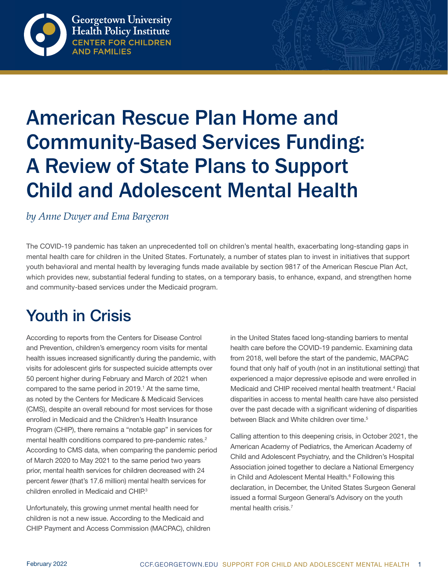

# American Rescue Plan Home and Community-Based Services Funding: A Review of State Plans to Support Child and Adolescent Mental Health

#### *by Anne Dwyer and Ema Bargeron*

The COVID-19 pandemic has taken an unprecedented toll on children's mental health, exacerbating long-standing gaps in mental health care for children in the United States. Fortunately, a number of states plan to invest in initiatives that support youth behavioral and mental health by leveraging funds made available by section 9817 of the American Rescue Plan Act, which provides new, substantial federal funding to states, on a temporary basis, to enhance, expand, and strengthen home and community-based services under the Medicaid program.

# Youth in Crisis

According to reports from the Centers for Disease Control and Prevention, children's emergency room visits for mental health issues increased significantly during the pandemic, with visits for adolescent girls for suspected suicide attempts over 50 percent higher during February and March of 2021 when compared to the same period in 2019.<sup>1</sup> At the same time, as noted by the Centers for Medicare & Medicaid Services (CMS), despite an overall rebound for most services for those enrolled in Medicaid and the Children's Health Insurance Program (CHIP), there remains a "notable gap" in services for mental health conditions compared to pre-pandemic rates.<sup>2</sup> According to CMS data, when comparing the pandemic period of March 2020 to May 2021 to the same period two years prior, mental health services for children decreased with 24 percent *fewer* (that's 17.6 million) mental health services for children enrolled in Medicaid and CHIP.<sup>3</sup>

Unfortunately, this growing unmet mental health need for children is not a new issue. According to the Medicaid and CHIP Payment and Access Commission (MACPAC), children in the United States faced long-standing barriers to mental health care before the COVID-19 pandemic. Examining data from 2018, well before the start of the pandemic, MACPAC found that only half of youth (not in an institutional setting) that experienced a major depressive episode and were enrolled in Medicaid and CHIP received mental health treatment.<sup>4</sup> Racial disparities in access to mental health care have also persisted over the past decade with a significant widening of disparities between Black and White children over time.<sup>5</sup>

Calling attention to this deepening crisis, in October 2021, the American Academy of Pediatrics, the American Academy of Child and Adolescent Psychiatry, and the Children's Hospital Association joined together to declare a National Emergency in Child and Adolescent Mental Health.<sup>6</sup> Following this declaration, in December, the United States Surgeon General issued a formal Surgeon General's Advisory on the youth mental health crisis.<sup>7</sup>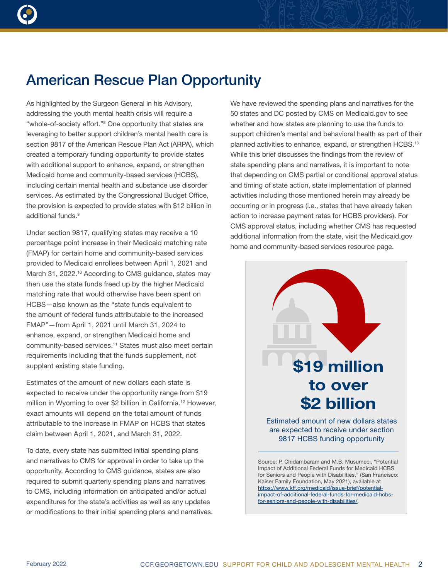As highlighted by the Surgeon General in his Advisory, addressing the youth mental health crisis will require a "whole-of-society effort."8 One opportunity that states are leveraging to better support children's mental health care is section 9817 of the American Rescue Plan Act (ARPA), which created a temporary funding opportunity to provide states with additional support to enhance, expand, or strengthen Medicaid home and community-based services (HCBS), including certain mental health and substance use disorder services. As estimated by the Congressional Budget Office, the provision is expected to provide states with \$12 billion in additional funds.<sup>9</sup>

Under section 9817, qualifying states may receive a 10 percentage point increase in their Medicaid matching rate (FMAP) for certain home and community-based services provided to Medicaid enrollees between April 1, 2021 and March 31, 2022.<sup>10</sup> According to CMS guidance, states may then use the state funds freed up by the higher Medicaid matching rate that would otherwise have been spent on HCBS—also known as the "state funds equivalent to the amount of federal funds attributable to the increased FMAP"—from April 1, 2021 until March 31, 2024 to enhance, expand, or strengthen Medicaid home and community-based services.11 States must also meet certain requirements including that the funds supplement, not supplant existing state funding.

Estimates of the amount of new dollars each state is expected to receive under the opportunity range from \$19 million in Wyoming to over \$2 billion in California.12 However, exact amounts will depend on the total amount of funds attributable to the increase in FMAP on HCBS that states claim between April 1, 2021, and March 31, 2022.

To date, every state has submitted initial spending plans and narratives to CMS for approval in order to take up the opportunity. According to CMS guidance, states are also required to submit quarterly spending plans and narratives to CMS, including information on anticipated and/or actual expenditures for the state's activities as well as any updates or modifications to their initial spending plans and narratives. We have reviewed the spending plans and narratives for the 50 states and DC posted by CMS on Medicaid.gov to see whether and how states are planning to use the funds to support children's mental and behavioral health as part of their planned activities to enhance, expand, or strengthen HCBS.<sup>13</sup> While this brief discusses the findings from the review of state spending plans and narratives, it is important to note that depending on CMS partial or conditional approval status and timing of state action, state implementation of planned activities including those mentioned herein may already be occurring or in progress (i.e., states that have already taken action to increase payment rates for HCBS providers). For CMS approval status, including whether CMS has requested additional information from the state, visit the Medicaid.gov home and community-based services resource page.



Source: P. Chidambaram and M.B. Musumeci, "Potential Impact of Additional Federal Funds for Medicaid HCBS for Seniors and People with Disabilities," (San Francisco: Kaiser Family Foundation, May 2021), available at [https://www.kff.org/medicaid/issue-brief/potential](https://www.kff.org/medicaid/issue-brief/potential-impact-of-additional-federal-funds-for-medicaid-hcbs-for-seniors-and-people-with-disabilities/)[impact-of-additional-federal-funds-for-medicaid-hcbs](https://www.kff.org/medicaid/issue-brief/potential-impact-of-additional-federal-funds-for-medicaid-hcbs-for-seniors-and-people-with-disabilities/)[for-seniors-and-people-with-disabilities/.](https://www.kff.org/medicaid/issue-brief/potential-impact-of-additional-federal-funds-for-medicaid-hcbs-for-seniors-and-people-with-disabilities/)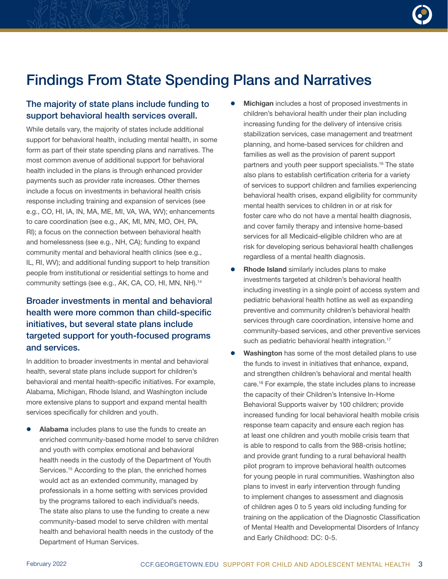

# Findings From State Spending Plans and Narratives

#### The majority of state plans include funding to support behavioral health services overall.

While details vary, the majority of states include additional support for behavioral health, including mental health, in some form as part of their state spending plans and narratives. The most common avenue of additional support for behavioral health included in the plans is through enhanced provider payments such as provider rate increases. Other themes include a focus on investments in behavioral health crisis response including training and expansion of services (see e.g., CO, HI, IA, IN, MA, ME, MI, VA, WA, WV); enhancements to care coordination (see e.g., AK, MI, MN, MO, OH, PA, RI); a focus on the connection between behavioral health and homelessness (see e.g., NH, CA); funding to expand community mental and behavioral health clinics (see e.g., IL, RI, WV); and additional funding support to help transition people from institutional or residential settings to home and community settings (see e.g., AK, CA, CO, HI, MN, NH).14

#### Broader investments in mental and behavioral health were more common than child-specific initiatives, but several state plans include targeted support for youth-focused programs and services.

In addition to broader investments in mental and behavioral health, several state plans include support for children's behavioral and mental health-specific initiatives. For example, Alabama, Michigan, Rhode Island, and Washington include more extensive plans to support and expand mental health services specifically for children and youth.

Alabama includes plans to use the funds to create an enriched community-based home model to serve children and youth with complex emotional and behavioral health needs in the custody of the Department of Youth Services.<sup>15</sup> According to the plan, the enriched homes would act as an extended community, managed by professionals in a home setting with services provided by the programs tailored to each individual's needs. The state also plans to use the funding to create a new community-based model to serve children with mental health and behavioral health needs in the custody of the Department of Human Services.

- Michigan includes a host of proposed investments in children's behavioral health under their plan including increasing funding for the delivery of intensive crisis stabilization services, case management and treatment planning, and home-based services for children and families as well as the provision of parent support partners and youth peer support specialists.16 The state also plans to establish certification criteria for a variety of services to support children and families experiencing behavioral health crises, expand eligibility for community mental health services to children in or at risk for foster care who do not have a mental health diagnosis, and cover family therapy and intensive home-based services for all Medicaid-eligible children who are at risk for developing serious behavioral health challenges regardless of a mental health diagnosis.
- Rhode Island similarly includes plans to make investments targeted at children's behavioral health including investing in a single point of access system and pediatric behavioral health hotline as well as expanding preventive and community children's behavioral health services through care coordination, intensive home and community-based services, and other preventive services such as pediatric behavioral health integration.<sup>17</sup>
- Washington has some of the most detailed plans to use the funds to invest in initiatives that enhance, expand, and strengthen children's behavioral and mental health care.18 For example, the state includes plans to increase the capacity of their Children's Intensive In-Home Behavioral Supports waiver by 100 children; provide increased funding for local behavioral health mobile crisis response team capacity and ensure each region has at least one children and youth mobile crisis team that is able to respond to calls from the 988-crisis hotline; and provide grant funding to a rural behavioral health pilot program to improve behavioral health outcomes for young people in rural communities. Washington also plans to invest in early intervention through funding to implement changes to assessment and diagnosis of children ages 0 to 5 years old including funding for training on the application of the Diagnostic Classification of Mental Health and Developmental Disorders of Infancy and Early Childhood: DC: 0-5.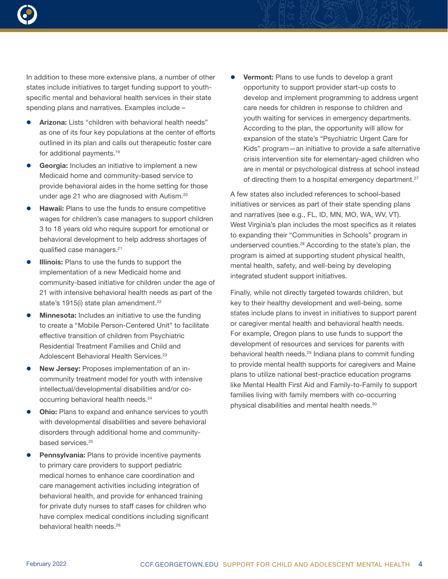

In addition to these more extensive plans, a number of other states include initiatives to target funding support to youthspecific mental and behavioral health services in their state spending plans and narratives. Examples include –

- Arizona: Lists "children with behavioral health needs" as one of its four key populations at the center of efforts outlined in its plan and calls out therapeutic foster care for additional payments.19
- Georgia: Includes an initiative to implement a new Medicaid home and community-based service to provide behavioral aides in the home setting for those under age 21 who are diagnosed with Autism.20
- Hawaii: Plans to use the funds to ensure competitive wages for children's case managers to support children 3 to 18 years old who require support for emotional or behavioral development to help address shortages of qualified case managers.21
- Illinois: Plans to use the funds to support the implementation of a new Medicaid home and community-based initiative for children under the age of 21 with intensive behavioral health needs as part of the state's 1915(i) state plan amendment.<sup>22</sup>
- **Minnesota:** Includes an initiative to use the funding to create a "Mobile Person-Centered Unit" to facilitate effective transition of children from Psychiatric Residential Treatment Families and Child and Adolescent Behavioral Health Services.<sup>23</sup>
- New Jersey: Proposes implementation of an incommunity treatment model for youth with intensive intellectual/developmental disabilities and/or cooccurring behavioral health needs.24
- **Ohio:** Plans to expand and enhance services to youth with developmental disabilities and severe behavioral disorders through additional home and communitybased services.<sup>25</sup>
- Pennsylvania: Plans to provide incentive payments to primary care providers to support pediatric medical homes to enhance care coordination and care management activities including integration of behavioral health, and provide for enhanced training for private duty nurses to staff cases for children who have complex medical conditions including significant behavioral health needs.<sup>26</sup>

**Vermont:** Plans to use funds to develop a grant opportunity to support provider start-up costs to develop and implement programming to address urgent care needs for children in response to children and youth waiting for services in emergency departments. According to the plan, the opportunity will allow for expansion of the state's "Psychiatric Urgent Care for Kids" program—an initiative to provide a safe alternative crisis intervention site for elementary-aged children who are in mental or psychological distress at school instead of directing them to a hospital emergency department.<sup>27</sup>

A few states also included references to school-based initiatives or services as part of their state spending plans and narratives (see e.g., FL, ID, MN, MO, WA, WV, VT). West Virginia's plan includes the most specifics as it relates to expanding their "Communities in Schools" program in underserved counties.28 According to the state's plan, the program is aimed at supporting student physical health, mental health, safety, and well-being by developing integrated student support initiatives.

Finally, while not directly targeted towards children, but key to their healthy development and well-being, some states include plans to invest in initiatives to support parent or caregiver mental health and behavioral health needs. For example, Oregon plans to use funds to support the development of resources and services for parents with behavioral health needs.<sup>29</sup> Indiana plans to commit funding to provide mental health supports for caregivers and Maine plans to utilize national best-practice education programs like Mental Health First Aid and Family-to-Family to support families living with family members with co-occurring physical disabilities and mental health needs.30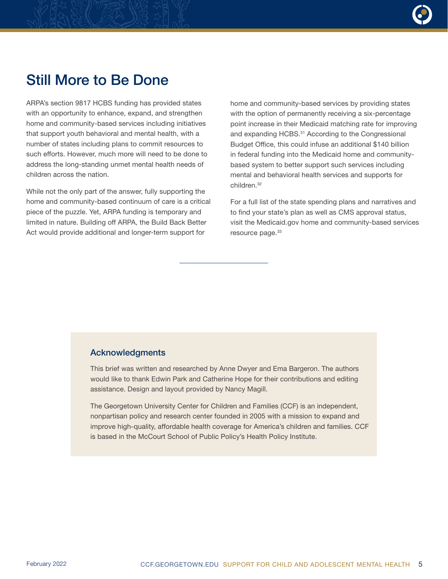

### Still More to Be Done

ARPA's section 9817 HCBS funding has provided states with an opportunity to enhance, expand, and strengthen home and community-based services including initiatives that support youth behavioral and mental health, with a number of states including plans to commit resources to such efforts. However, much more will need to be done to address the long-standing unmet mental health needs of children across the nation.

While not the only part of the answer, fully supporting the home and community-based continuum of care is a critical piece of the puzzle. Yet, ARPA funding is temporary and limited in nature. Building off ARPA, the Build Back Better Act would provide additional and longer-term support for

home and community-based services by providing states with the option of permanently receiving a six-percentage point increase in their Medicaid matching rate for improving and expanding HCBS. <sup>31</sup> According to the Congressional Budget Office, this could infuse an additional \$140 billion in federal funding into the Medicaid home and communitybased system to better support such services including mental and behavioral health services and supports for children.32

For a full list of the state spending plans and narratives and to find your state's plan as well as CMS approval status, visit the Medicaid.gov home and community-based services resource page.<sup>33</sup>

#### Acknowledgments

This brief was written and researched by Anne Dwyer and Ema Bargeron. The authors would like to thank Edwin Park and Catherine Hope for their contributions and editing assistance. Design and layout provided by Nancy Magill.

The Georgetown University Center for Children and Families (CCF) is an independent, nonpartisan policy and research center founded in 2005 with a mission to expand and improve high-quality, affordable health coverage for America's children and families. CCF is based in the McCourt School of Public Policy's Health Policy Institute.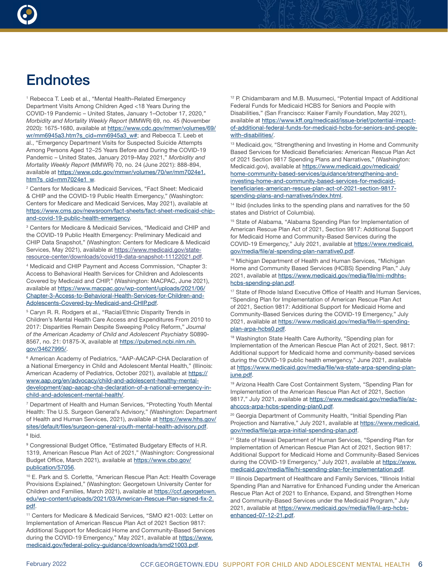

## **Endnotes**

<sup>1</sup> Rebecca T. Leeb et al., "Mental Health–Related Emergency Department Visits Among Children Aged <18 Years During the COVID-19 Pandemic – United States, January 1–October 17, 2020," *Morbidity and Mortality Weekly Report* (MMWR) 69, no. 45 (November 2020): 1675-1680, available at [https://www.cdc.gov/mmwr/volumes/69/](https://www.cdc.gov/mmwr/volumes/69/wr/mm6945a3.htm?s_cid=mm6945a3_w#) [wr/mm6945a3.htm?s\\_cid=mm6945a3\\_w#;](https://www.cdc.gov/mmwr/volumes/69/wr/mm6945a3.htm?s_cid=mm6945a3_w#) and Rebecca T. Leeb et al., "Emergency Department Visits for Suspected Suicide Attempts Among Persons Aged 12–25 Years Before and During the COVID-19 Pandemic – United States, January 2019–May 2021," *Morbidity and Mortality Weekly Report* (MMWR) 70, no. 24 (June 2021): 888-894, available at [https://www.cdc.gov/mmwr/volumes/70/wr/mm7024e1.](https://www.cdc.gov/mmwr/volumes/70/wr/mm7024e1.htm?s_cid=mm7024e1_w) [htm?s\\_cid=mm7024e1\\_w](https://www.cdc.gov/mmwr/volumes/70/wr/mm7024e1.htm?s_cid=mm7024e1_w).

2 Centers for Medicare & Medicaid Services, "Fact Sheet: Medicaid & CHIP and the COVID-19 Public Health Emergency," (Washington: Centers for Medicare and Medicaid Services, May 2021), available at [https://www.cms.gov/newsroom/fact-sheets/fact-sheet-medicaid-chip](https://www.cms.gov/newsroom/fact-sheets/fact-sheet-medicaid-chip-and-covid-19-public-health-emergency)[and-covid-19-public-health-emergency](https://www.cms.gov/newsroom/fact-sheets/fact-sheet-medicaid-chip-and-covid-19-public-health-emergency).

3 Centers for Medicare & Medicaid Services, "Medicaid and CHIP and the COVID-19 Public Health Emergency: Preliminary Medicaid and CHIP Data Snapshot," (Washington: Centers for Medicare & Medicaid Services, May 2021), available at [https://www.medicaid.gov/state](https://www.medicaid.gov/state-resource-center/downloads/covid19-data-snapshot-11122021.pdf)[resource-center/downloads/covid19-data-snapshot-11122021.pdf.](https://www.medicaid.gov/state-resource-center/downloads/covid19-data-snapshot-11122021.pdf)

<sup>4</sup> Medicaid and CHIP Payment and Access Commission, "Chapter 3: Access to Behavioral Health Services for Children and Adolescents Covered by Medicaid and CHIP," (Washington: MACPAC, June 2021), available at [https://www.macpac.gov/wp-content/uploads/2021/06/](https://www.macpac.gov/wp-content/uploads/2021/06/Chapter-3-Access-to-Behavioral-Health-Services-for-Children-and-Adolescents-Covered-by-Medicaid-and-CHIP.pdf) [Chapter-3-Access-to-Behavioral-Health-Services-for-Children-and-](https://www.macpac.gov/wp-content/uploads/2021/06/Chapter-3-Access-to-Behavioral-Health-Services-for-Children-and-Adolescents-Covered-by-Medicaid-and-CHIP.pdf)[Adolescents-Covered-by-Medicaid-and-CHIP.pdf](https://www.macpac.gov/wp-content/uploads/2021/06/Chapter-3-Access-to-Behavioral-Health-Services-for-Children-and-Adolescents-Covered-by-Medicaid-and-CHIP.pdf).

<sup>5</sup> Caryn R. R. Rodgers et al., "Racial/Ethnic Disparity Trends in Children's Mental Health Care Access and Expenditures From 2010 to 2017: Disparities Remain Despite Sweeping Policy Reform," *Journal of the American Academy of Child and Adolescent Psychiatry* S0890 8567, no. 21: 01875-X, available at [https://pubmed.ncbi.nlm.nih.](https://pubmed.ncbi.nlm.nih.gov/34627995/) [gov/34627995/.](https://pubmed.ncbi.nlm.nih.gov/34627995/)

<sup>6</sup> American Academy of Pediatrics, "AAP-AACAP-CHA Declaration of a National Emergency in Child and Adolescent Mental Health," (Illinois: American Academy of Pediatrics, October 2021), available at [https://](https://www.aap.org/en/advocacy/child-and-adolescent-healthy-mental-development/aap-aacap-cha-declaration-of-a-national-emergency-in-child-and-adolescent-mental-health/) [www.aap.org/en/advocacy/child-and-adolescent-healthy-mental](https://www.aap.org/en/advocacy/child-and-adolescent-healthy-mental-development/aap-aacap-cha-declaration-of-a-national-emergency-in-child-and-adolescent-mental-health/)[development/aap-aacap-cha-declaration-of-a-national-emergency-in](https://www.aap.org/en/advocacy/child-and-adolescent-healthy-mental-development/aap-aacap-cha-declaration-of-a-national-emergency-in-child-and-adolescent-mental-health/)[child-and-adolescent-mental-health/](https://www.aap.org/en/advocacy/child-and-adolescent-healthy-mental-development/aap-aacap-cha-declaration-of-a-national-emergency-in-child-and-adolescent-mental-health/).

<sup>7</sup> Department of Health and Human Services, "Protecting Youth Mental Health: The U.S. Surgeon General's Advisory," (Washington: Department of Health and Human Services, 2021), available at [https://www.hhs.gov/](https://www.hhs.gov/sites/default/files/surgeon-general-youth-mental-health-advisory.pdf) [sites/default/files/surgeon-general-youth-mental-health-advisory.pdf](https://www.hhs.gov/sites/default/files/surgeon-general-youth-mental-health-advisory.pdf). <sup>8</sup> Ibid.

9 Congressional Budget Office, "Estimated Budgetary Effects of H.R. 1319, American Rescue Plan Act of 2021," (Washington: Congressional Budget Office, March 2021), available at [https://www.cbo.gov/](https://www.cbo.gov/publication/57056) [publication/57056](https://www.cbo.gov/publication/57056).

10 E. Park and S. Corlette, "American Rescue Plan Act: Health Coverage Provisions Explained," (Washington: Georgetown University Center for Children and Families, March 2021), available at [https://ccf.georgetown.](https://ccf.georgetown.edu/wp-content/uploads/2021/03/American-Rescue-Plan-signed-fix-2.pdf) [edu/wp-content/uploads/2021/03/American-Rescue-Plan-signed-fix-2.](https://ccf.georgetown.edu/wp-content/uploads/2021/03/American-Rescue-Plan-signed-fix-2.pdf) [pdf.](https://ccf.georgetown.edu/wp-content/uploads/2021/03/American-Rescue-Plan-signed-fix-2.pdf)

11 Centers for Medicare & Medicaid Services, "SMO #21-003: Letter on Implementation of American Rescue Plan Act of 2021 Section 9817: Additional Support for Medicaid Home and Community-Based Services during the COVID-19 Emergency," May 2021, available at [https://www.](https://www.medicaid.gov/federal-policy-guidance/downloads/smd21003.pdf) [medicaid.gov/federal-policy-guidance/downloads/smd21003.pdf](https://www.medicaid.gov/federal-policy-guidance/downloads/smd21003.pdf).

<sup>12</sup> P. Chidambaram and M.B. Musumeci, "Potential Impact of Additional Federal Funds for Medicaid HCBS for Seniors and People with Disabilities," (San Francisco: Kaiser Family Foundation, May 2021), available at [https://www.kff.org/medicaid/issue-brief/potential-impact](https://www.kff.org/medicaid/issue-brief/potential-impact-of-additional-federal-funds-for-medicaid-hcbs-for-seniors-and-people-with-disabilities/)[of-additional-federal-funds-for-medicaid-hcbs-for-seniors-and-people](https://www.kff.org/medicaid/issue-brief/potential-impact-of-additional-federal-funds-for-medicaid-hcbs-for-seniors-and-people-with-disabilities/)[with-disabilities/.](https://www.kff.org/medicaid/issue-brief/potential-impact-of-additional-federal-funds-for-medicaid-hcbs-for-seniors-and-people-with-disabilities/)

<sup>13</sup> Medicaid.gov, "Strengthening and Investing in Home and Community Based Services for Medicaid Beneficiaries: American Rescue Plan Act of 2021 Section 9817 Spending Plans and Narratives," (Washington: Medicaid.gov), available at [https://www.medicaid.gov/medicaid/](https://www.medicaid.gov/medicaid/home-community-based-services/guidance/strengthening-and-investing-home-and-community-based-services-for-medicaid-beneficiaries-american-rescue-plan-act-of-2021-section-9817-spending-plans-and-narratives/index.html) [home-community-based-services/guidance/strengthening-and](https://www.medicaid.gov/medicaid/home-community-based-services/guidance/strengthening-and-investing-home-and-community-based-services-for-medicaid-beneficiaries-american-rescue-plan-act-of-2021-section-9817-spending-plans-and-narratives/index.html)[investing-home-and-community-based-services-for-medicaid](https://www.medicaid.gov/medicaid/home-community-based-services/guidance/strengthening-and-investing-home-and-community-based-services-for-medicaid-beneficiaries-american-rescue-plan-act-of-2021-section-9817-spending-plans-and-narratives/index.html)[beneficiaries-american-rescue-plan-act-of-2021-section-9817](https://www.medicaid.gov/medicaid/home-community-based-services/guidance/strengthening-and-investing-home-and-community-based-services-for-medicaid-beneficiaries-american-rescue-plan-act-of-2021-section-9817-spending-plans-and-narratives/index.html) [spending-plans-and-narratives/index.html.](https://www.medicaid.gov/medicaid/home-community-based-services/guidance/strengthening-and-investing-home-and-community-based-services-for-medicaid-beneficiaries-american-rescue-plan-act-of-2021-section-9817-spending-plans-and-narratives/index.html)

<sup>14</sup> Ibid (includes links to the spending plans and narratives for the 50 states and District of Columbia).

<sup>15</sup> State of Alabama, "Alabama Spending Plan for Implementation of American Rescue Plan Act of 2021, Section 9817: Additional Support for Medicaid Home and Community-Based Services during the COVID-19 Emergency," July 2021, available at [https://www.medicaid.](https://www.medicaid.gov/media/file/al-spending-plan-narrative0.pdf) [gov/media/file/al-spending-plan-narrative0.pdf](https://www.medicaid.gov/media/file/al-spending-plan-narrative0.pdf).

<sup>16</sup> Michigan Department of Health and Human Services, "Michigan Home and Community Based Services (HCBS) Spending Plan," July 2021, available at [https://www.medicaid.gov/media/file/mi-mdhhs](https://www.medicaid.gov/media/file/mi-mdhhs-hcbs-spending-plan.pdf)[hcbs-spending-plan.pdf.](https://www.medicaid.gov/media/file/mi-mdhhs-hcbs-spending-plan.pdf)

<sup>17</sup> State of Rhode Island Executive Office of Health and Human Services, "Spending Plan for Implementation of American Rescue Plan Act of 2021, Section 9817: Additional Support for Medicaid Home and Community-Based Services during the COVID-19 Emergency," July 2021, available at [https://www.medicaid.gov/media/file/ri-spending](https://www.medicaid.gov/media/file/ri-spending-plan-arpa-hcbs0.pdf)[plan-arpa-hcbs0.pdf](https://www.medicaid.gov/media/file/ri-spending-plan-arpa-hcbs0.pdf).

18 Washington State Health Care Authority, "Spending plan for Implementation of the American Rescue Plan Act of 2021, Sect. 9817: Additional support for Medicaid home and community-based services during the COVID-19 public health emergency," June 2021, available at [https://www.medicaid.gov/media/file/wa-state-arpa-spending-plan](https://www.medicaid.gov/media/file/wa-state-arpa-spending-plan-june.pdf)[june.pdf](https://www.medicaid.gov/media/file/wa-state-arpa-spending-plan-june.pdf).

<sup>19</sup> Arizona Health Care Cost Containment System, "Spending Plan for Implementation of the American Rescue Plan Act of 2021, Section 9817," July 2021, available at [https://www.medicaid.gov/media/file/az](https://www.medicaid.gov/media/file/az-ahcccs-arpa-hcbs-spending-plan0.pdf)[ahcccs-arpa-hcbs-spending-plan0.pdf.](https://www.medicaid.gov/media/file/az-ahcccs-arpa-hcbs-spending-plan0.pdf)

<sup>20</sup> Georgia Department of Community Health, "Initial Spending Plan Projection and Narrative," July 2021, available at [https://www.medicaid.](https://www.medicaid.gov/media/file/ga-arpa-initial-spending-plan.pdf) [gov/media/file/ga-arpa-initial-spending-plan.pdf](https://www.medicaid.gov/media/file/ga-arpa-initial-spending-plan.pdf).

<sup>21</sup> State of Hawaii Department of Human Services, "Spending Plan for Implementation of American Rescue Plan Act of 2021, Section 9817: Additional Support for Medicaid Home and Community-Based Services during the COVID-19 Emergency," July 2021, available at [https://www.](https://www.medicaid.gov/media/file/hi-spending-plan-for-implementation.pdf) [medicaid.gov/media/file/hi-spending-plan-for-implementation.pdf](https://www.medicaid.gov/media/file/hi-spending-plan-for-implementation.pdf).

<sup>22</sup> Illinois Department of Healthcare and Family Services, "Illinois Initial Spending Plan and Narrative for Enhanced Funding under the American Rescue Plan Act of 2021 to Enhance, Expand, and Strengthen Home and Community-Based Services under the Medicaid Program," July 2021, available at [https://www.medicaid.gov/media/file/il-arp-hcbs](https://www.medicaid.gov/media/file/il-arp-hcbs-enhanced-07-12-21.pdf)[enhanced-07-12-21.pdf](https://www.medicaid.gov/media/file/il-arp-hcbs-enhanced-07-12-21.pdf).